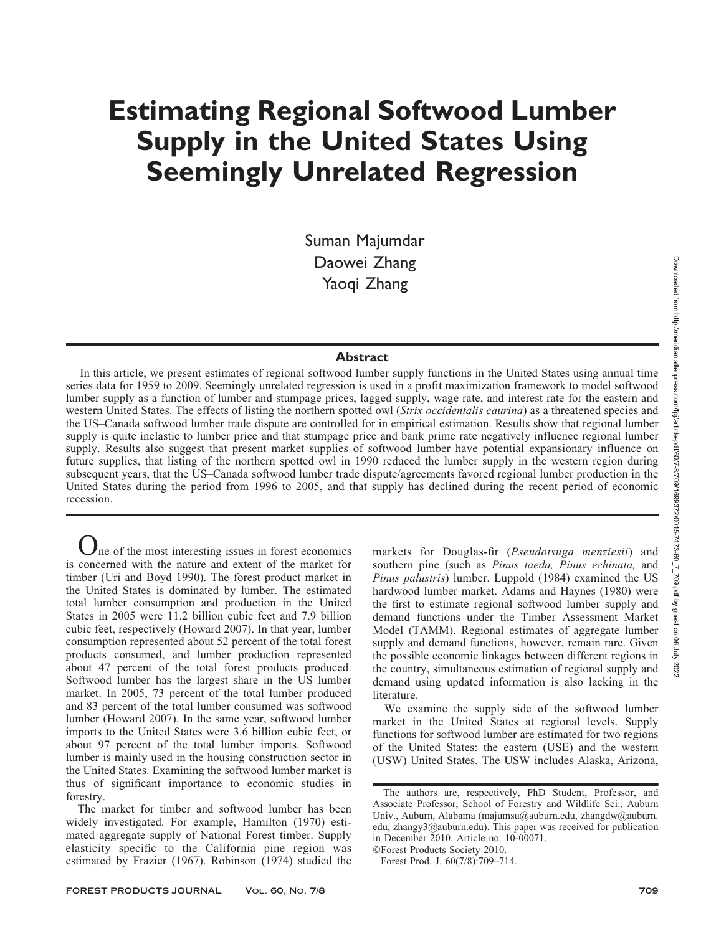# Estimating Regional Softwood Lumber Supply in the United States Using Seemingly Unrelated Regression

Suman Majumdar Daowei Zhang Yaoqi Zhang

# Abstract

In this article, we present estimates of regional softwood lumber supply functions in the United States using annual time series data for 1959 to 2009. Seemingly unrelated regression is used in a profit maximization framework to model softwood lumber supply as a function of lumber and stumpage prices, lagged supply, wage rate, and interest rate for the eastern and western United States. The effects of listing the northern spotted owl (Strix occidentalis caurina) as a threatened species and the US–Canada softwood lumber trade dispute are controlled for in empirical estimation. Results show that regional lumber supply is quite inelastic to lumber price and that stumpage price and bank prime rate negatively influence regional lumber supply. Results also suggest that present market supplies of softwood lumber have potential expansionary influence on future supplies, that listing of the northern spotted owl in 1990 reduced the lumber supply in the western region during subsequent years, that the US–Canada softwood lumber trade dispute/agreements favored regional lumber production in the United States during the period from 1996 to 2005, and that supply has declined during the recent period of economic recession.

 $\mathbf{J}_{\text{ne}}$  of the most interesting issues in forest economics is concerned with the nature and extent of the market for timber (Uri and Boyd 1990). The forest product market in the United States is dominated by lumber. The estimated total lumber consumption and production in the United States in 2005 were 11.2 billion cubic feet and 7.9 billion cubic feet, respectively (Howard 2007). In that year, lumber consumption represented about 52 percent of the total forest products consumed, and lumber production represented about 47 percent of the total forest products produced. Softwood lumber has the largest share in the US lumber market. In 2005, 73 percent of the total lumber produced and 83 percent of the total lumber consumed was softwood lumber (Howard 2007). In the same year, softwood lumber imports to the United States were 3.6 billion cubic feet, or about 97 percent of the total lumber imports. Softwood lumber is mainly used in the housing construction sector in the United States. Examining the softwood lumber market is thus of significant importance to economic studies in forestry.

The market for timber and softwood lumber has been widely investigated. For example, Hamilton (1970) estimated aggregate supply of National Forest timber. Supply elasticity specific to the California pine region was estimated by Frazier (1967). Robinson (1974) studied the markets for Douglas-fir (Pseudotsuga menziesii) and southern pine (such as Pinus taeda, Pinus echinata, and Pinus palustris) lumber. Luppold (1984) examined the US hardwood lumber market. Adams and Haynes (1980) were the first to estimate regional softwood lumber supply and demand functions under the Timber Assessment Market Model (TAMM). Regional estimates of aggregate lumber supply and demand functions, however, remain rare. Given the possible economic linkages between different regions in the country, simultaneous estimation of regional supply and demand using updated information is also lacking in the literature.

We examine the supply side of the softwood lumber market in the United States at regional levels. Supply functions for softwood lumber are estimated for two regions of the United States: the eastern (USE) and the western (USW) United States. The USW includes Alaska, Arizona,

The authors are, respectively, PhD Student, Professor, and Associate Professor, School of Forestry and Wildlife Sci., Auburn Univ., Auburn, Alabama (majumsu@auburn.edu, zhangdw@auburn. edu, zhangy3@auburn.edu). This paper was received for publication in December 2010. Article no. 10-00071. -Forest Products Society 2010.

Forest Prod. J. 60(7/8):709–714.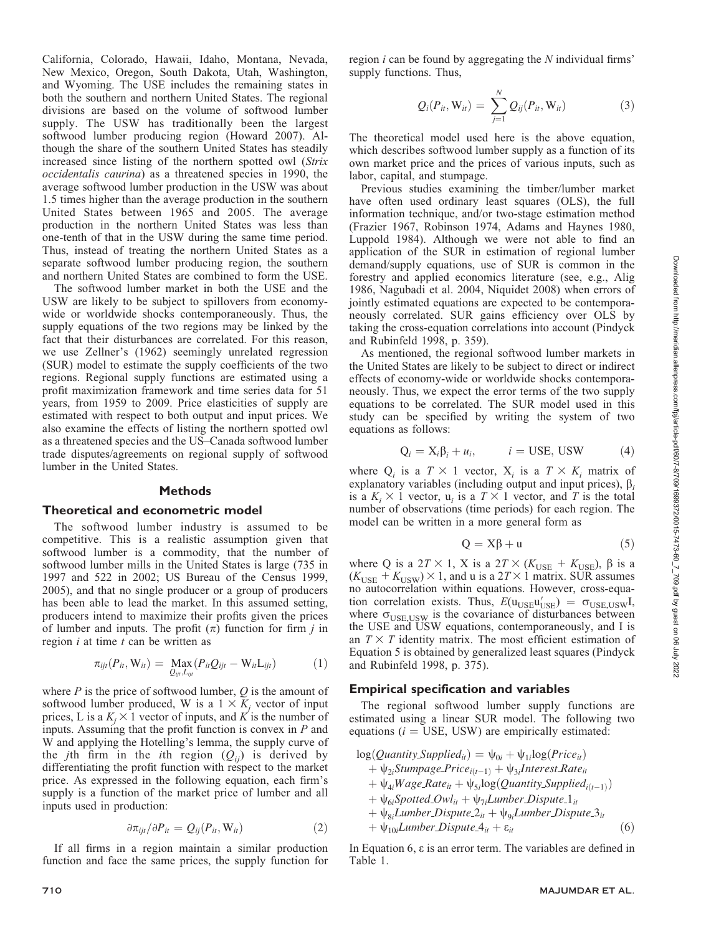California, Colorado, Hawaii, Idaho, Montana, Nevada, New Mexico, Oregon, South Dakota, Utah, Washington, and Wyoming. The USE includes the remaining states in both the southern and northern United States. The regional divisions are based on the volume of softwood lumber supply. The USW has traditionally been the largest softwood lumber producing region (Howard 2007). Although the share of the southern United States has steadily increased since listing of the northern spotted owl (Strix occidentalis caurina) as a threatened species in 1990, the average softwood lumber production in the USW was about 1.5 times higher than the average production in the southern United States between 1965 and 2005. The average production in the northern United States was less than one-tenth of that in the USW during the same time period. Thus, instead of treating the northern United States as a separate softwood lumber producing region, the southern and northern United States are combined to form the USE.

The softwood lumber market in both the USE and the USW are likely to be subject to spillovers from economywide or worldwide shocks contemporaneously. Thus, the supply equations of the two regions may be linked by the fact that their disturbances are correlated. For this reason, we use Zellner's (1962) seemingly unrelated regression (SUR) model to estimate the supply coefficients of the two regions. Regional supply functions are estimated using a profit maximization framework and time series data for 51 years, from 1959 to 2009. Price elasticities of supply are estimated with respect to both output and input prices. We also examine the effects of listing the northern spotted owl as a threatened species and the US–Canada softwood lumber trade disputes/agreements on regional supply of softwood lumber in the United States.

## **Methods**

### Theoretical and econometric model

The softwood lumber industry is assumed to be competitive. This is a realistic assumption given that softwood lumber is a commodity, that the number of softwood lumber mills in the United States is large (735 in 1997 and 522 in 2002; US Bureau of the Census 1999, 2005), and that no single producer or a group of producers has been able to lead the market. In this assumed setting, producers intend to maximize their profits given the prices of lumber and inputs. The profit  $(\pi)$  function for firm j in region  $i$  at time  $t$  can be written as

$$
\pi_{ijt}(P_{it}, \mathbf{W}_{it}) = \underset{Q_{ijt}, L_{ijt}}{\text{Max}}(P_{it}Q_{ijt} - \mathbf{W}_{it}L_{ijt})
$$
(1)

where  $P$  is the price of softwood lumber,  $Q$  is the amount of softwood lumber produced, W is a  $1 \times K_i$  vector of input prices, L is a  $K_i \times 1$  vector of inputs, and K is the number of inputs. Assuming that the profit function is convex in  $P$  and W and applying the Hotelling's lemma, the supply curve of the *j*th firm in the *i*th region  $(Q_{ii})$  is derived by differentiating the profit function with respect to the market price. As expressed in the following equation, each firm's supply is a function of the market price of lumber and all inputs used in production:

$$
\partial \pi_{ijt} / \partial P_{it} = Q_{ij}(P_{it}, \mathbf{W}_{it}) \tag{2}
$$

If all firms in a region maintain a similar production function and face the same prices, the supply function for

region  $i$  can be found by aggregating the  $N$  individual firms' supply functions. Thus,

$$
Q_i(P_{it}, W_{it}) = \sum_{j=1}^N Q_{ij}(P_{it}, W_{it})
$$
 (3)

The theoretical model used here is the above equation, which describes softwood lumber supply as a function of its own market price and the prices of various inputs, such as labor, capital, and stumpage.

Previous studies examining the timber/lumber market have often used ordinary least squares (OLS), the full information technique, and/or two-stage estimation method (Frazier 1967, Robinson 1974, Adams and Haynes 1980, Luppold 1984). Although we were not able to find an application of the SUR in estimation of regional lumber demand/supply equations, use of SUR is common in the forestry and applied economics literature (see, e.g., Alig 1986, Nagubadi et al. 2004, Niquidet 2008) when errors of jointly estimated equations are expected to be contemporaneously correlated. SUR gains efficiency over OLS by taking the cross-equation correlations into account (Pindyck and Rubinfeld 1998, p. 359).

As mentioned, the regional softwood lumber markets in the United States are likely to be subject to direct or indirect effects of economy-wide or worldwide shocks contemporaneously. Thus, we expect the error terms of the two supply equations to be correlated. The SUR model used in this study can be specified by writing the system of two equations as follows:

$$
Q_i = X_i \beta_i + u_i, \qquad i = \text{USE, USW} \tag{4}
$$

where  $Q_i$  is a  $T \times 1$  vector,  $X_i$  is a  $T \times K_i$  matrix of explanatory variables (including output and input prices),  $\beta_i$ is a  $K_i \times 1$  vector,  $u_i$  is a  $T \times 1$  vector, and T is the total number of observations (time periods) for each region. The model can be written in a more general form as

$$
Q = X\beta + u \tag{5}
$$

where Q is a  $2T \times 1$ , X is a  $2T \times (K_{\text{USE}} + K_{\text{USE}})$ ,  $\beta$  is a  $(K<sub>USE</sub> + K<sub>USW</sub>) \times 1$ , and u is a 2T  $\times$  1 matrix. SUR assumes no autocorrelation within equations. However, cross-equation correlation exists. Thus,  $E(\mathbf{u}_{\text{USE}}\mathbf{u}_{\text{USE}}') = \sigma_{\text{USE},\text{USW}}\mathbf{I}$ , where  $\sigma_{\text{USE,USW}}$  is the covariance of disturbances between the USE and USW equations, contemporaneously, and I is an  $T \times T$  identity matrix. The most efficient estimation of Equation 5 is obtained by generalized least squares (Pindyck and Rubinfeld 1998, p. 375).

#### Empirical specification and variables

The regional softwood lumber supply functions are estimated using a linear SUR model. The following two equations  $(i = \text{USE}, \text{USW})$  are empirically estimated:

$$
\log(Quantity\_Supplied_{ii}) = \psi_{0i} + \psi_{1i} \log(Price_{ii}) + \psi_{2i} Stumpage\_Price_{i(t-1)} + \psi_{3i} Interest\_Rate_{ii} + \psi_{4i} Wage\_Rate_{it} + \psi_{5i} \log(Quantity\_Supplied_{i(t-1)}) + \psi_{6i} Spotted\_Owl_{it} + \psi_{7i} Lumber\_Dispute\_1_{it} + \psi_{8i} Lumber\_Dispute\_2_{it} + \psi_{9i} Lumber\_Dispute\_3_{it} + \psi_{10i} Lumber\_Dispute\_4_{it} + \varepsilon_{it}
$$
 (6)

In Equation 6,  $\varepsilon$  is an error term. The variables are defined in Table 1.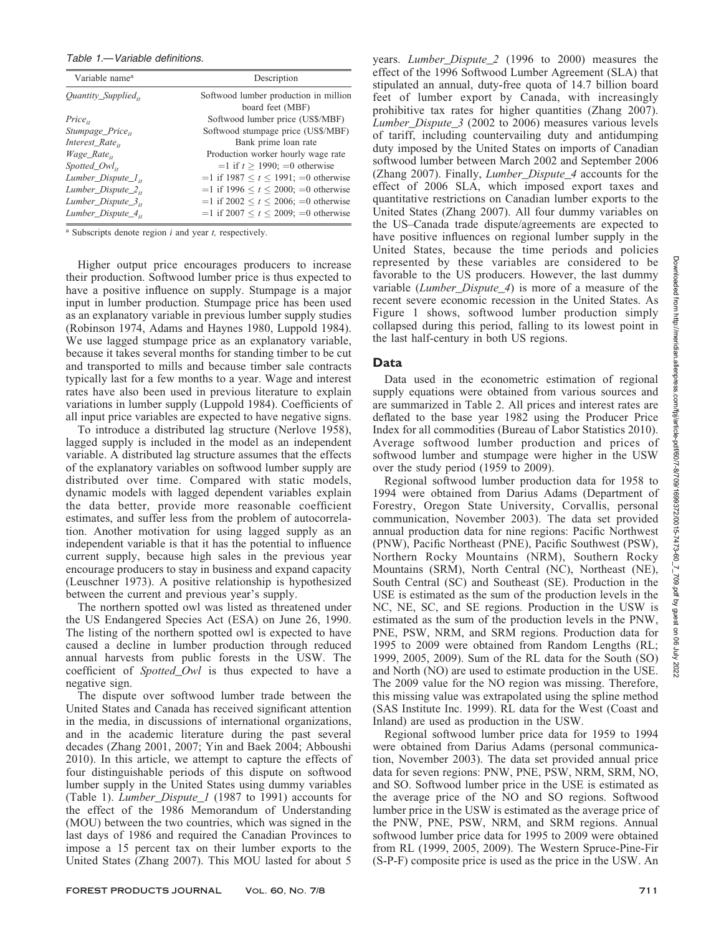## Table 1.—Variable definitions.

| Variable name <sup>a</sup>     | Description                                    |
|--------------------------------|------------------------------------------------|
| $Quantity\_Supplied_{ii}$      | Softwood lumber production in million          |
|                                | board feet (MBF)                               |
| $Price_{ii}$                   | Softwood lumber price (US\$/MBF)               |
| Stumpage_Price <sub>it</sub>   | Softwood stumpage price (US\$/MBF)             |
| $Interest\_Rate_{it}$          | Bank prime loan rate                           |
| <i>Wage_Rate</i> <sub>it</sub> | Production worker hourly wage rate             |
| $Spotted$ $Owl_{it}$           | $=1$ if $t > 1990$ ; $=0$ otherwise            |
| Lumber_Dispute_ $l_{it}$       | $=1$ if 1987 $\lt t \lt 1991$ ; $=0$ otherwise |
| Lumber_Dispute_ $2_{it}$       | $=1$ if 1996 $\lt t \lt 2000$ ; $=0$ otherwise |
| Lumber_Dispute_ $3_{ii}$       | =1 if 2002 $\le t \le 2006$ ; =0 otherwise     |
| Lumber_Dispute_ $4_{it}$       | $=1$ if 2007 $\lt t \lt 2009$ ; $=0$ otherwise |

 $a$  Subscripts denote region  $i$  and year  $t$ , respectively.

Higher output price encourages producers to increase their production. Softwood lumber price is thus expected to have a positive influence on supply. Stumpage is a major input in lumber production. Stumpage price has been used as an explanatory variable in previous lumber supply studies (Robinson 1974, Adams and Haynes 1980, Luppold 1984). We use lagged stumpage price as an explanatory variable, because it takes several months for standing timber to be cut and transported to mills and because timber sale contracts typically last for a few months to a year. Wage and interest rates have also been used in previous literature to explain variations in lumber supply (Luppold 1984). Coefficients of all input price variables are expected to have negative signs.

To introduce a distributed lag structure (Nerlove 1958), lagged supply is included in the model as an independent variable. A distributed lag structure assumes that the effects of the explanatory variables on softwood lumber supply are distributed over time. Compared with static models, dynamic models with lagged dependent variables explain the data better, provide more reasonable coefficient estimates, and suffer less from the problem of autocorrelation. Another motivation for using lagged supply as an independent variable is that it has the potential to influence current supply, because high sales in the previous year encourage producers to stay in business and expand capacity (Leuschner 1973). A positive relationship is hypothesized between the current and previous year's supply.

The northern spotted owl was listed as threatened under the US Endangered Species Act (ESA) on June 26, 1990. The listing of the northern spotted owl is expected to have caused a decline in lumber production through reduced annual harvests from public forests in the USW. The coefficient of *Spotted\_Owl* is thus expected to have a negative sign.

The dispute over softwood lumber trade between the United States and Canada has received significant attention in the media, in discussions of international organizations, and in the academic literature during the past several decades (Zhang 2001, 2007; Yin and Baek 2004; Abboushi 2010). In this article, we attempt to capture the effects of four distinguishable periods of this dispute on softwood lumber supply in the United States using dummy variables (Table 1). Lumber\_Dispute\_1 (1987 to 1991) accounts for the effect of the 1986 Memorandum of Understanding (MOU) between the two countries, which was signed in the last days of 1986 and required the Canadian Provinces to impose a 15 percent tax on their lumber exports to the United States (Zhang 2007). This MOU lasted for about 5

years. Lumber\_Dispute\_2 (1996 to 2000) measures the effect of the 1996 Softwood Lumber Agreement (SLA) that stipulated an annual, duty-free quota of 14.7 billion board feet of lumber export by Canada, with increasingly prohibitive tax rates for higher quantities (Zhang 2007). Lumber\_Dispute\_3 (2002 to 2006) measures various levels of tariff, including countervailing duty and antidumping duty imposed by the United States on imports of Canadian softwood lumber between March 2002 and September 2006 (Zhang 2007). Finally, Lumber\_Dispute\_4 accounts for the effect of 2006 SLA, which imposed export taxes and quantitative restrictions on Canadian lumber exports to the United States (Zhang 2007). All four dummy variables on the US–Canada trade dispute/agreements are expected to have positive influences on regional lumber supply in the United States, because the time periods and policies represented by these variables are considered to be favorable to the US producers. However, the last dummy variable (Lumber\_Dispute\_4) is more of a measure of the recent severe economic recession in the United States. As Figure 1 shows, softwood lumber production simply collapsed during this period, falling to its lowest point in the last half-century in both US regions.

# Data

Data used in the econometric estimation of regional supply equations were obtained from various sources and are summarized in Table 2. All prices and interest rates are deflated to the base year 1982 using the Producer Price Index for all commodities (Bureau of Labor Statistics 2010). Average softwood lumber production and prices of softwood lumber and stumpage were higher in the USW over the study period (1959 to 2009).

Regional softwood lumber production data for 1958 to 1994 were obtained from Darius Adams (Department of Forestry, Oregon State University, Corvallis, personal communication, November 2003). The data set provided annual production data for nine regions: Pacific Northwest (PNW), Pacific Northeast (PNE), Pacific Southwest (PSW), Northern Rocky Mountains (NRM), Southern Rocky Mountains (SRM), North Central (NC), Northeast (NE), South Central (SC) and Southeast (SE). Production in the USE is estimated as the sum of the production levels in the NC, NE, SC, and SE regions. Production in the USW is estimated as the sum of the production levels in the PNW, PNE, PSW, NRM, and SRM regions. Production data for 1995 to 2009 were obtained from Random Lengths (RL; 1999, 2005, 2009). Sum of the RL data for the South (SO) and North (NO) are used to estimate production in the USE. The 2009 value for the NO region was missing. Therefore, this missing value was extrapolated using the spline method (SAS Institute Inc. 1999). RL data for the West (Coast and Inland) are used as production in the USW.

Regional softwood lumber price data for 1959 to 1994 were obtained from Darius Adams (personal communication, November 2003). The data set provided annual price data for seven regions: PNW, PNE, PSW, NRM, SRM, NO, and SO. Softwood lumber price in the USE is estimated as the average price of the NO and SO regions. Softwood lumber price in the USW is estimated as the average price of the PNW, PNE, PSW, NRM, and SRM regions. Annual softwood lumber price data for 1995 to 2009 were obtained from RL (1999, 2005, 2009). The Western Spruce-Pine-Fir (S-P-F) composite price is used as the price in the USW. An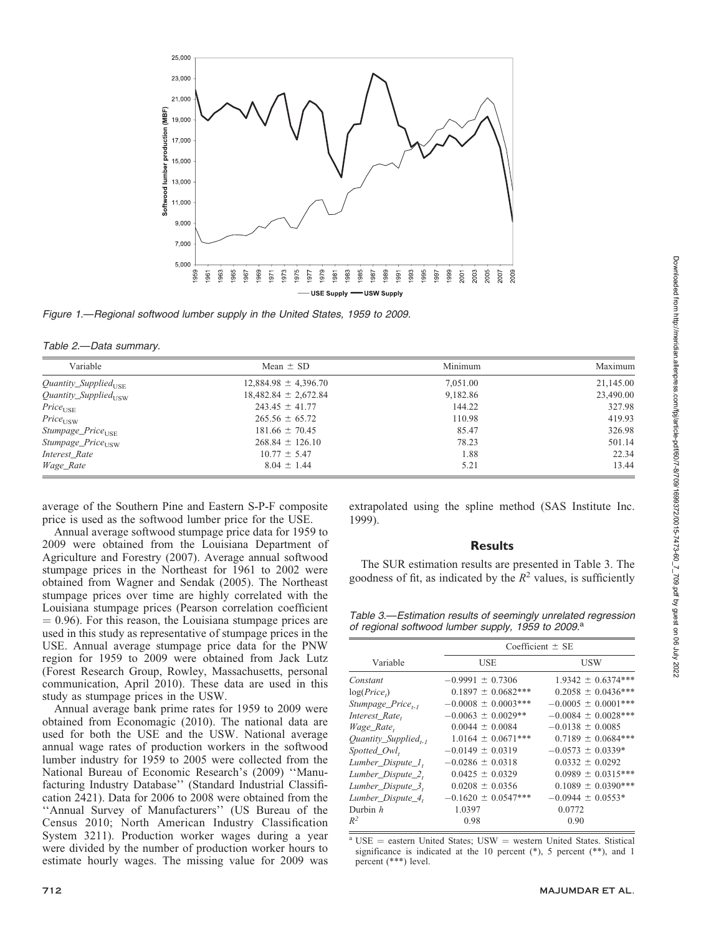

Figure 1.—Regional softwood lumber supply in the United States, 1959 to 2009.

| Table 2.-Data summary. |  |
|------------------------|--|
|------------------------|--|

| Variable                           | Mean $\pm$ SD            | Minimum  | Maximum   |
|------------------------------------|--------------------------|----------|-----------|
| $Quantity\_Supplied_{\text{LISE}}$ | $12,884.98 \pm 4,396.70$ | 7,051.00 | 21,145.00 |
| $Quantity\_Supplied_{\text{TSW}}$  | $18,482.84 \pm 2,672.84$ | 9.182.86 | 23,490.00 |
| $Price_{USE}$                      | $243.45 \pm 41.77$       | 144.22   | 327.98    |
| $Price_{\rm USW}$                  | $265.56 \pm 65.72$       | 110.98   | 419.93    |
| $Stumpage\_Price_{\text{IISE}}$    | $181.66 \pm 70.45$       | 85.47    | 326.98    |
| $Stumpage\_Price_{\text{IISW}}$    | $268.84 \pm 126.10$      | 78.23    | 501.14    |
| Interest_Rate                      | $10.77 \pm 5.47$         | 1.88     | 22.34     |
| Wage_Rate                          | $8.04 \pm 1.44$          | 5.21     | 13.44     |

average of the Southern Pine and Eastern S-P-F composite price is used as the softwood lumber price for the USE.

Annual average softwood stumpage price data for 1959 to 2009 were obtained from the Louisiana Department of Agriculture and Forestry (2007). Average annual softwood stumpage prices in the Northeast for 1961 to 2002 were obtained from Wagner and Sendak (2005). The Northeast stumpage prices over time are highly correlated with the Louisiana stumpage prices (Pearson correlation coefficient  $= 0.96$ ). For this reason, the Louisiana stumpage prices are used in this study as representative of stumpage prices in the USE. Annual average stumpage price data for the PNW region for 1959 to 2009 were obtained from Jack Lutz (Forest Research Group, Rowley, Massachusetts, personal communication, April 2010). These data are used in this study as stumpage prices in the USW.

Annual average bank prime rates for 1959 to 2009 were obtained from Economagic (2010). The national data are used for both the USE and the USW. National average annual wage rates of production workers in the softwood lumber industry for 1959 to 2005 were collected from the National Bureau of Economic Research's (2009) ''Manufacturing Industry Database'' (Standard Industrial Classification 2421). Data for 2006 to 2008 were obtained from the ''Annual Survey of Manufacturers'' (US Bureau of the Census 2010; North American Industry Classification System 3211). Production worker wages during a year were divided by the number of production worker hours to estimate hourly wages. The missing value for 2009 was extrapolated using the spline method (SAS Institute Inc. 1999).

## **Results**

The SUR estimation results are presented in Table 3. The goodness of fit, as indicated by the  $R^2$  values, is sufficiently

Table 3.—Estimation results of seemingly unrelated regression of regional softwood lumber supply, 1959 to 2009.<sup>a</sup>

|                               |                          | Coefficient $\pm$ SE    |  |  |
|-------------------------------|--------------------------|-------------------------|--|--|
| Variable                      | <b>USE</b>               | USW                     |  |  |
| Constant                      | $-0.9991 \pm 0.7306$     | $1.9342 \pm 0.6374***$  |  |  |
| log(Price <sub>t</sub> )      | $0.1897 \pm 0.0682***$   | $0.2058 \pm 0.0436***$  |  |  |
| Stumpage_Price <sub>t-1</sub> | $-0.0008 \pm 0.0003$ *** | $-0.0005 \pm 0.0001***$ |  |  |
| Interest_Rate,                | $-0.0063 \pm 0.0029**$   | $-0.0084 \pm 0.0028***$ |  |  |
| Wage_Rate,                    | $0.0044 \pm 0.0084$      | $-0.0138 \pm 0.0085$    |  |  |
| $Quantity\_Supplied_{t-1}$    | $1.0164 \pm 0.0671***$   | $0.7189 \pm 0.0684***$  |  |  |
| Spotted_Owl,                  | $-0.0149 \pm 0.0319$     | $-0.0573 \pm 0.0339*$   |  |  |
| Lumber_Dispute_1,             | $-0.0286 \pm 0.0318$     | $0.0332 \pm 0.0292$     |  |  |
| Lumber_Dispute_2,             | $0.0425 \pm 0.0329$      | $0.0989 \pm 0.0315***$  |  |  |
| Lumber_Dispute_3,             | $0.0208 \pm 0.0356$      | $0.1089 \pm 0.0390***$  |  |  |
| Lumber_Dispute_4,             | $-0.1620 \pm 0.0547***$  | $-0.0944 \pm 0.0553*$   |  |  |
| Durbin $h$                    | 1.0397                   | 0.0772                  |  |  |
| $R^2$                         | 0.98                     | 0.90                    |  |  |
|                               |                          |                         |  |  |

 $a$  USE = eastern United States; USW = western United States. Stistical significance is indicated at the 10 percent  $(*)$ , 5 percent  $(**)$ , and 1 percent (\*\*\*) level.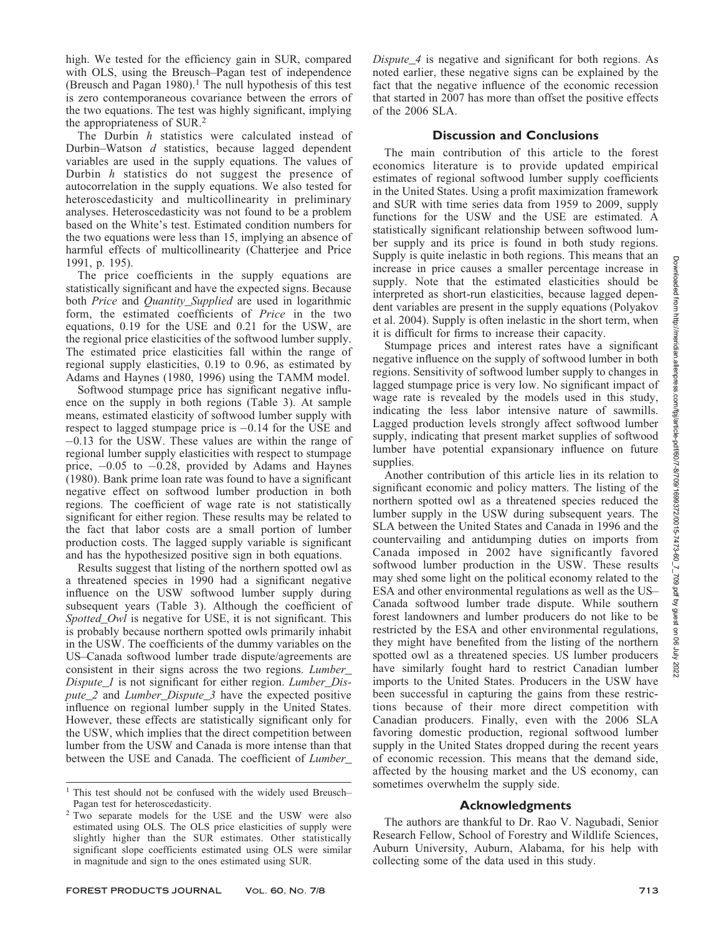high. We tested for the efficiency gain in SUR, compared with OLS, using the Breusch–Pagan test of independence (Breusch and Pagan 1980).<sup>1</sup> The null hypothesis of this test is zero contemporaneous covariance between the errors of the two equations. The test was highly significant, implying the appropriateness of SUR.<sup>2</sup>

The Durbin h statistics were calculated instead of Durbin–Watson d statistics, because lagged dependent variables are used in the supply equations. The values of Durbin  $h$  statistics do not suggest the presence of autocorrelation in the supply equations. We also tested for heteroscedasticity and multicollinearity in preliminary analyses. Heteroscedasticity was not found to be a problem based on the White's test. Estimated condition numbers for the two equations were less than 15, implying an absence of harmful effects of multicollinearity (Chatterjee and Price 1991, p. 195).

The price coefficients in the supply equations are statistically significant and have the expected signs. Because both *Price* and *Quantity\_Supplied* are used in logarithmic form, the estimated coefficients of Price in the two equations, 0.19 for the USE and 0.21 for the USW, are the regional price elasticities of the softwood lumber supply. The estimated price elasticities fall within the range of regional supply elasticities, 0.19 to 0.96, as estimated by Adams and Haynes (1980, 1996) using the TAMM model.

Softwood stumpage price has significant negative influence on the supply in both regions (Table 3). At sample means, estimated elasticity of softwood lumber supply with respect to lagged stumpage price is -0.14 for the USE and -0.13 for the USW. These values are within the range of regional lumber supply elasticities with respect to stumpage price, -0.05 to -0.28, provided by Adams and Haynes (1980). Bank prime loan rate was found to have a significant negative effect on softwood lumber production in both regions. The coefficient of wage rate is not statistically significant for either region. These results may be related to the fact that labor costs are a small portion of lumber production costs. The lagged supply variable is significant and has the hypothesized positive sign in both equations.

Results suggest that listing of the northern spotted owl as a threatened species in 1990 had a significant negative influence on the USW softwood lumber supply during subsequent years (Table 3). Although the coefficient of Spotted Owl is negative for USE, it is not significant. This is probably because northern spotted owls primarily inhabit in the USW. The coefficients of the dummy variables on the US–Canada softwood lumber trade dispute/agreements are consistent in their signs across the two regions. Lumber\_ Dispute\_1 is not significant for either region. Lumber\_Dispute\_2 and Lumber\_Dispute\_3 have the expected positive influence on regional lumber supply in the United States. However, these effects are statistically significant only for the USW, which implies that the direct competition between lumber from the USW and Canada is more intense than that between the USE and Canada. The coefficient of Lumber\_

Dispute\_4 is negative and significant for both regions. As noted earlier, these negative signs can be explained by the fact that the negative influence of the economic recession that started in 2007 has more than offset the positive effects of the 2006 SLA.

## Discussion and Conclusions

The main contribution of this article to the forest economics literature is to provide updated empirical estimates of regional softwood lumber supply coefficients in the United States. Using a profit maximization framework and SUR with time series data from 1959 to 2009, supply functions for the USW and the USE are estimated. A statistically significant relationship between softwood lumber supply and its price is found in both study regions. Supply is quite inelastic in both regions. This means that an increase in price causes a smaller percentage increase in supply. Note that the estimated elasticities should be interpreted as short-run elasticities, because lagged dependent variables are present in the supply equations (Polyakov et al. 2004). Supply is often inelastic in the short term, when it is difficult for firms to increase their capacity.

Stumpage prices and interest rates have a significant negative influence on the supply of softwood lumber in both regions. Sensitivity of softwood lumber supply to changes in lagged stumpage price is very low. No significant impact of wage rate is revealed by the models used in this study, indicating the less labor intensive nature of sawmills. Lagged production levels strongly affect softwood lumber supply, indicating that present market supplies of softwood lumber have potential expansionary influence on future supplies.

Another contribution of this article lies in its relation to significant economic and policy matters. The listing of the northern spotted owl as a threatened species reduced the lumber supply in the USW during subsequent years. The SLA between the United States and Canada in 1996 and the countervailing and antidumping duties on imports from Canada imposed in 2002 have significantly favored softwood lumber production in the USW. These results may shed some light on the political economy related to the ESA and other environmental regulations as well as the US– Canada softwood lumber trade dispute. While southern forest landowners and lumber producers do not like to be restricted by the ESA and other environmental regulations, they might have benefited from the listing of the northern spotted owl as a threatened species. US lumber producers have similarly fought hard to restrict Canadian lumber imports to the United States. Producers in the USW have been successful in capturing the gains from these restrictions because of their more direct competition with Canadian producers. Finally, even with the 2006 SLA favoring domestic production, regional softwood lumber supply in the United States dropped during the recent years of economic recession. This means that the demand side, affected by the housing market and the US economy, can sometimes overwhelm the supply side.

## Acknowledgments

The authors are thankful to Dr. Rao V. Nagubadi, Senior Research Fellow, School of Forestry and Wildlife Sciences, Auburn University, Auburn, Alabama, for his help with collecting some of the data used in this study.

<sup>&</sup>lt;sup>1</sup> This test should not be confused with the widely used Breusch-Pagan test for heteroscedasticity.

<sup>2</sup> Two separate models for the USE and the USW were also estimated using OLS. The OLS price elasticities of supply were slightly higher than the SUR estimates. Other statistically significant slope coefficients estimated using OLS were similar in magnitude and sign to the ones estimated using SUR.